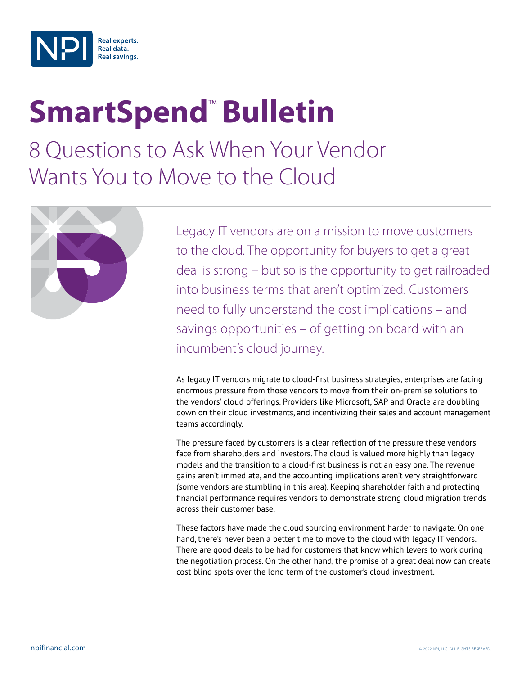

## **SmartSpend<sup>™</sup> Bulletin**

8 Questions to Ask When Your Vendor Wants You to Move to the Cloud



Legacy IT vendors are on a mission to move customers to the cloud. The opportunity for buyers to get a great deal is strong – but so is the opportunity to get railroaded into business terms that aren't optimized. Customers need to fully understand the cost implications – and savings opportunities – of getting on board with an incumbent's cloud journey.

As legacy IT vendors migrate to cloud-first business strategies, enterprises are facing enormous pressure from those vendors to move from their on-premise solutions to the vendors' cloud offerings. Providers like Microsoft, SAP and Oracle are doubling down on their cloud investments, and incentivizing their sales and account management teams accordingly.

The pressure faced by customers is a clear reflection of the pressure these vendors face from shareholders and investors. The cloud is valued more highly than legacy models and the transition to a cloud-first business is not an easy one. The revenue gains aren't immediate, and the accounting implications aren't very straightforward (some vendors are stumbling in this area). Keeping shareholder faith and protecting financial performance requires vendors to demonstrate strong cloud migration trends across their customer base.

These factors have made the cloud sourcing environment harder to navigate. On one hand, there's never been a better time to move to the cloud with legacy IT vendors. There are good deals to be had for customers that know which levers to work during the negotiation process. On the other hand, the promise of a great deal now can create cost blind spots over the long term of the customer's cloud investment.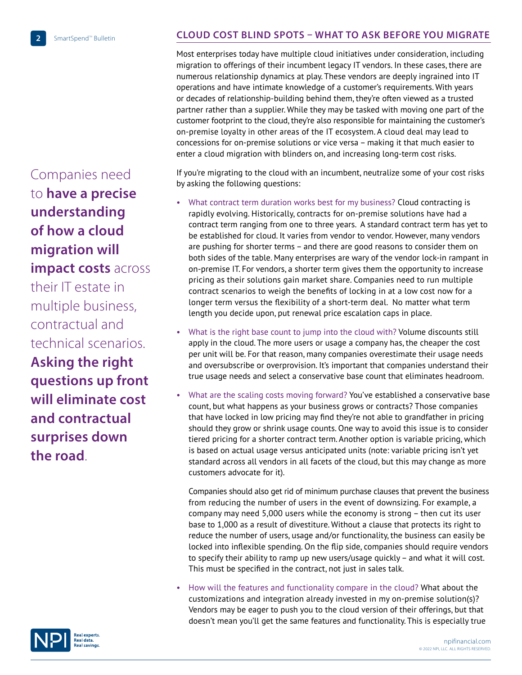Companies need to **have a precise understanding of how a cloud migration will impact costs** across their IT estate in multiple business, contractual and technical scenarios. **Asking the right questions up front will eliminate cost and contractual surprises down the road**.

## **CLOUD COST BLIND SPOTS – WHAT TO ASK BEFORE YOU MIGRATE**

Most enterprises today have multiple cloud initiatives under consideration, including migration to offerings of their incumbent legacy IT vendors. In these cases, there are numerous relationship dynamics at play. These vendors are deeply ingrained into IT operations and have intimate knowledge of a customer's requirements. With years or decades of relationship-building behind them, they're often viewed as a trusted partner rather than a supplier. While they may be tasked with moving one part of the customer footprint to the cloud, they're also responsible for maintaining the customer's on-premise loyalty in other areas of the IT ecosystem. A cloud deal may lead to concessions for on-premise solutions or vice versa – making it that much easier to enter a cloud migration with blinders on, and increasing long-term cost risks.

If you're migrating to the cloud with an incumbent, neutralize some of your cost risks by asking the following questions:

- What contract term duration works best for my business? Cloud contracting is rapidly evolving. Historically, contracts for on-premise solutions have had a contract term ranging from one to three years. A standard contract term has yet to be established for cloud. It varies from vendor to vendor. However, many vendors are pushing for shorter terms – and there are good reasons to consider them on both sides of the table. Many enterprises are wary of the vendor lock-in rampant in on-premise IT. For vendors, a shorter term gives them the opportunity to increase pricing as their solutions gain market share. Companies need to run multiple contract scenarios to weigh the benefits of locking in at a low cost now for a longer term versus the flexibility of a short-term deal. No matter what term length you decide upon, put renewal price escalation caps in place.
- What is the right base count to jump into the cloud with? Volume discounts still apply in the cloud. The more users or usage a company has, the cheaper the cost per unit will be. For that reason, many companies overestimate their usage needs and oversubscribe or overprovision. It's important that companies understand their true usage needs and select a conservative base count that eliminates headroom.
- What are the scaling costs moving forward? You've established a conservative base count, but what happens as your business grows or contracts? Those companies that have locked in low pricing may find they're not able to grandfather in pricing should they grow or shrink usage counts. One way to avoid this issue is to consider tiered pricing for a shorter contract term. Another option is variable pricing, which is based on actual usage versus anticipated units (note: variable pricing isn't yet standard across all vendors in all facets of the cloud, but this may change as more customers advocate for it).

Companies should also get rid of minimum purchase clauses that prevent the business from reducing the number of users in the event of downsizing. For example, a company may need 5,000 users while the economy is strong – then cut its user base to 1,000 as a result of divestiture. Without a clause that protects its right to reduce the number of users, usage and/or functionality, the business can easily be locked into inflexible spending. On the flip side, companies should require vendors to specify their ability to ramp up new users/usage quickly – and what it will cost. This must be specified in the contract, not just in sales talk.

• How will the features and functionality compare in the cloud? What about the customizations and integration already invested in my on-premise solution(s)? Vendors may be eager to push you to the cloud version of their offerings, but that doesn't mean you'll get the same features and [functionality. This is especially true](http://npifinancial.com) 

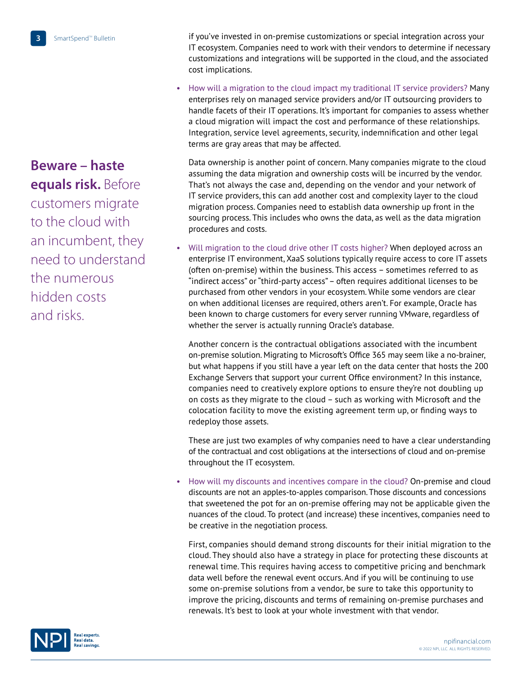**Beware – haste equals risk.** Before customers migrate to the cloud with an incumbent, they need to understand the numerous hidden costs and risks.

if you've invested in on-premise customizations or special integration across your IT ecosystem. Companies need to work with their vendors to determine if necessary customizations and integrations will be supported in the cloud, and the associated cost implications.

• How will a migration to the cloud impact my traditional IT service providers? Many enterprises rely on managed service providers and/or IT outsourcing providers to handle facets of their IT operations. It's important for companies to assess whether a cloud migration will impact the cost and performance of these relationships. Integration, service level agreements, security, indemnification and other legal terms are gray areas that may be affected.

Data ownership is another point of concern. Many companies migrate to the cloud assuming the data migration and ownership costs will be incurred by the vendor. That's not always the case and, depending on the vendor and your network of IT service providers, this can add another cost and complexity layer to the cloud migration process. Companies need to establish data ownership up front in the sourcing process. This includes who owns the data, as well as the data migration procedures and costs.

• Will migration to the cloud drive other IT costs higher? When deployed across an enterprise IT environment, XaaS solutions typically require access to core IT assets (often on-premise) within the business. This access – sometimes referred to as "indirect access" or "third-party access" – often requires additional licenses to be purchased from other vendors in your ecosystem. While some vendors are clear on when additional licenses are required, others aren't. For example, Oracle has been known to charge customers for every server running VMware, regardless of whether the server is actually running Oracle's database.

Another concern is the contractual obligations associated with the incumbent on-premise solution. Migrating to Microsoft's Office 365 may seem like a no-brainer, but what happens if you still have a year left on the data center that hosts the 200 Exchange Servers that support your current Office environment? In this instance, companies need to creatively explore options to ensure they're not doubling up on costs as they migrate to the cloud – such as working with Microsoft and the colocation facility to move the existing agreement term up, or finding ways to redeploy those assets.

These are just two examples of why companies need to have a clear understanding of the contractual and cost obligations at the intersections of cloud and on-premise throughout the IT ecosystem.

• How will my discounts and incentives compare in the cloud? On-premise and cloud discounts are not an apples-to-apples comparison. Those discounts and concessions that sweetened the pot for an on-premise offering may not be applicable given the nuances of the cloud. To protect (and increase) these incentives, companies need to be creative in the negotiation process.

First, companies should demand strong discounts for their initial migration to the cloud. They should also have a strategy in place for protecting these discounts at renewal time. This requires having access to competitive pricing and benchmark data well before the renewal event occurs. And if you will be continuing to use some on-premise solutions from a vendor, be sure to take this opportunity to improve the pricing, discounts and terms of remaining on-premise purchases and renewals. It's best to look at your whole investment with that vendor.